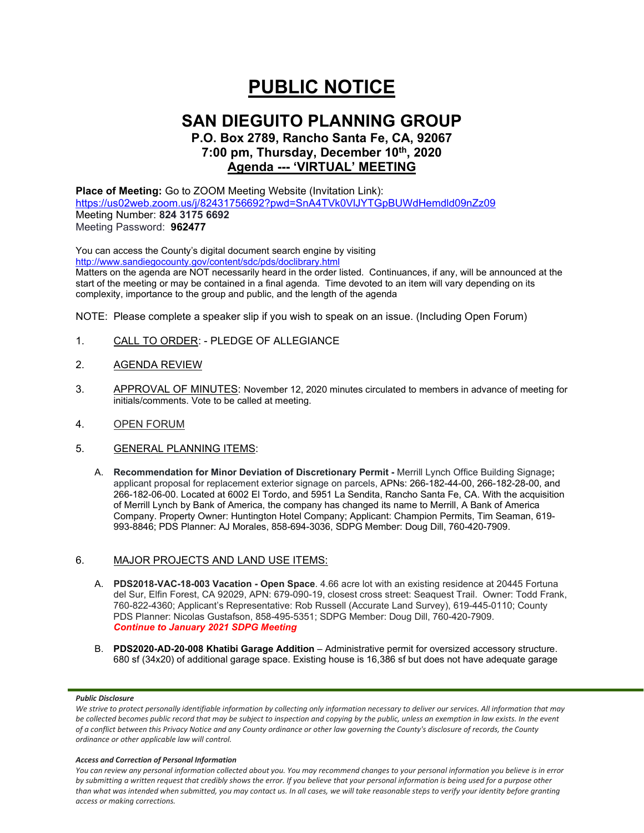# **PUBLIC NOTICE**

# **SAN DIEGUITO PLANNING GROUP**

# **P.O. Box 2789, Rancho Santa Fe, CA, 92067 7:00 pm, Thursday, December 10th, 2020 Agenda --- 'VIRTUAL' MEETING**

**Place of Meeting:** Go to ZOOM Meeting Website (Invitation Link): <https://us02web.zoom.us/j/82431756692?pwd=SnA4TVk0VlJYTGpBUWdHemdld09nZz09> Meeting Number: **824 3175 6692** Meeting Password: **962477**

You can access the County's digital document search engine by visiting <http://www.sandiegocounty.gov/content/sdc/pds/doclibrary.html>

Matters on the agenda are NOT necessarily heard in the order listed. Continuances, if any, will be announced at the start of the meeting or may be contained in a final agenda. Time devoted to an item will vary depending on its complexity, importance to the group and public, and the length of the agenda

NOTE: Please complete a speaker slip if you wish to speak on an issue. (Including Open Forum)

- 1. CALL TO ORDER: PLEDGE OF ALLEGIANCE
- 2. AGENDA REVIEW
- 3. APPROVAL OF MINUTES: November 12, 2020 minutes circulated to members in advance of meeting for initials/comments. Vote to be called at meeting.
- 4. OPEN FORUM
- 5. GENERAL PLANNING ITEMS:
	- A. **Recommendation for Minor Deviation of Discretionary Permit -** Merrill Lynch Office Building Signage**;** applicant proposal for replacement exterior signage on parcels, APNs: 266-182-44-00, 266-182-28-00, and 266-182-06-00. Located at 6002 El Tordo, and 5951 La Sendita, Rancho Santa Fe, CA. With the acquisition of Merrill Lynch by Bank of America, the company has changed its name to Merrill, A Bank of America Company. Property Owner: Huntington Hotel Company; Applicant: Champion Permits, Tim Seaman, 619- 993-8846; PDS Planner: AJ Morales, 858-694-3036, SDPG Member: Doug Dill, 760-420-7909.

## 6. MAJOR PROJECTS AND LAND USE ITEMS:

- A. **PDS2018-VAC-18-003 Vacation - Open Space**. 4.66 acre lot with an existing residence at 20445 Fortuna del Sur, Elfin Forest, CA 92029, APN: 679-090-19, closest cross street: Seaquest Trail. Owner: Todd Frank, 760-822-4360; Applicant's Representative: Rob Russell (Accurate Land Survey), 619-445-0110; County PDS Planner: Nicolas Gustafson, 858-495-5351; SDPG Member: Doug Dill, 760-420-7909. *Continue to January 2021 SDPG Meeting*
- B. **PDS2020-AD-20-008 Khatibi Garage Addition** Administrative permit for oversized accessory structure. 680 sf (34x20) of additional garage space. Existing house is 16,386 sf but does not have adequate garage

#### *Public Disclosure*

#### *Access and Correction of Personal Information*

*You can review any personal information collected about you. You may recommend changes to your personal information you believe is in error by submitting a written request that credibly shows the error. If you believe that your personal information is being used for a purpose other than what was intended when submitted, you may contact us. In all cases, we will take reasonable steps to verify your identity before granting access or making corrections.*

We strive to protect personally identifiable information by collecting only information necessary to deliver our services. All information that may *be collected becomes public record that may be subject to inspection and copying by the public, unless an exemption in law exists. In the event of a conflict between this Privacy Notice and any County ordinance or other law governing the County's disclosure of records, the County ordinance or other applicable law will control.*